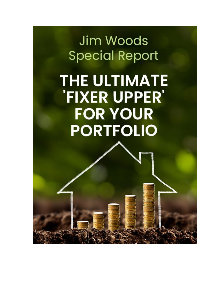Jim Woods **Special Report** 

**THE ULTIMATE** 'FIXER UPPER' **FOR YOUR PORTFOLIO**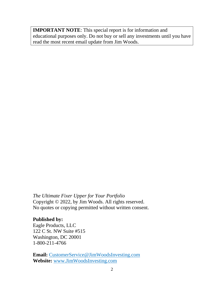**IMPORTANT NOTE**: This special report is for information and educational purposes only. Do not buy or sell any investments until you have read the most recent email update from Jim Woods.

*The Ultimate Fixer Upper for Your Portfolio* Copyright © 2022, by Jim Woods. All rights reserved. No quotes or copying permitted without written consent.

#### **Published by:**

Eagle Products, LLC 122 C St. NW Suite #515 Washington, DC 20001 1-800-211-4766

**Email:** CustomerService@JimWoodsInvesting.com **Website:** [www.JimWoodsInvesting.com](http://www.jimwoodsinvesting.com/)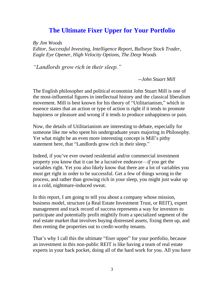# **The Ultimate Fixer Upper for Your Portfolio**

*By Jim Woods*

*Editor, Successful Investing, Intelligence Report, Bullseye Stock Trader, Eagle Eye Opener, High Velocity Options, The Deep Woods*

*"Landlords grow rich in their sleep."*

*--John Stuart Mill*

The English philosopher and political economist John Stuart Mill is one of the most-influential figures in intellectual history and the classical liberalism movement. Mill is best known for his theory of "Utilitarianism," which in essence states that an action or type of action is right if it tends to promote happiness or pleasure and wrong if it tends to produce unhappiness or pain.

Now, the details of Utilitarianism are interesting to debate, especially for someone like me who spent his undergraduate years majoring in Philosophy. Yet what might be an even more interesting concept is Mill's pithy statement here, that "Landlords grow rich in their sleep."

Indeed, if you've ever owned residential and/or commercial investment property you know that it can be a lucrative endeavor—*if* you get the variables right. Yet you also likely know that there are a lot of variables you must get right in order to be successful. Get a few of things wrong in the process, and rather than growing rich in your sleep, you might just wake up in a cold, nightmare-induced sweat.

In this report, I am going to tell you about a company whose mission, business model, structure (a Real Estate Investment Trust, or REIT), expert management and track record of success represents a way for investors to participate and potentially profit mightily from a specialized segment of the real estate market that involves buying distressed assets, fixing them up, and then renting the properties out to credit-worthy tenants.

That's why I call this the ultimate "fixer upper" for your portfolio, because an investment in this non-public REIT is like having a team of real estate experts in your back pocket, doing all of the hard work for you. All you have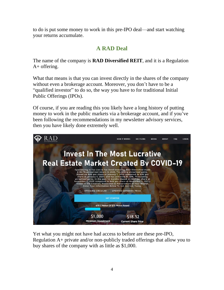to do is put some money to work in this pre-IPO deal—and start watching your returns accumulate.

#### **A RAD Deal**

The name of the company is **RAD Diversified REIT**, and it is a Regulation A+ offering.

What that means is that you can invest directly in the shares of the company without even a brokerage account. Moreover, you don't have to be a "qualified investor" to do so, the way you have to for traditional Initial Public Offerings (IPOs).

Of course, if you are reading this you likely have a long history of putting money to work in the public markets via a brokerage account, and if you've been following the recommendations in my newsletter advisory services, then you have likely done extremely well.



Yet what you might not have had access to before are these pre-IPO, Regulation A+ private and/or non-publicly traded offerings that allow you to buy shares of the company with as little as \$1,000.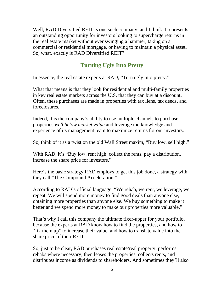Well, RAD Diversified REIT is one such company, and I think it represents an outstanding opportunity for investors looking to supercharge returns in the real estate market without ever swinging a hammer, taking on a commercial or residential mortgage, or having to maintain a physical asset. So, what, exactly is RAD Diversified REIT?

## **Turning Ugly Into Pretty**

In essence, the real estate experts at RAD, "Turn ugly into pretty."

What that means is that they look for residential and multi-family properties in key real estate markets across the U.S. that they can buy at a discount. Often, these purchases are made in properties with tax liens, tax deeds, and foreclosures.

Indeed, it is the company's ability to use multiple channels to purchase properties *well below market value* and leverage the knowledge and experience of its management team to maximize returns for our investors.

So, think of it as a twist on the old Wall Street maxim, "Buy low, sell high."

With RAD, it's "Buy low, rent high, collect the rents, pay a distribution, increase the share price for investors."

Here's the basic strategy RAD employs to get this job done, a strategy with they call "The Compound Acceleration."

According to RAD's official language, "We rehab, we rent, we leverage, we repeat. We will spend more money to find good deals than anyone else, obtaining more properties than anyone else. We buy something to make it better and we spend more money to make our properties more valuable."

That's why I call this company the ultimate fixer-upper for your portfolio, because the experts at RAD know how to find the properties, and how to "fix them up" to increase their value, and how to translate value into the share price of their REIT.

So, just to be clear, RAD purchases real estate/real property, performs rehabs where necessary, then leases the properties, collects rents, and distributes income as dividends to shareholders. And sometimes they'll also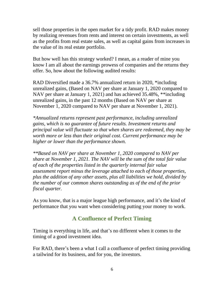sell those properties in the open market for a tidy profit. RAD makes money by realizing revenues from rents and interest on certain investments, as well as the profits from real estate sales, as well as capital gains from increases in the value of its real estate portfolio.

But how well has this strategy worked? I mean, as a reader of mine you know I am all about the earnings prowess of companies and the returns they offer. So, how about the following audited results:

RAD Diversified made a 36.7% annualized return in 2020, \*including unrealized gains, (Based on NAV per share at January 1, 2020 compared to NAV per share at January 1, 2021) and has achieved 35.48%, \*\*including unrealized gains, in the past 12 months (Based on NAV per share at November 1, 2020 compared to NAV per share at November 1, 2021).

*\*Annualized returns represent past performance, including unrealized gains, which is no guarantee of future results. Investment returns and principal value will fluctuate so that when shares are redeemed, they may be worth more or less than their original cost. Current performance may be higher or lower than the performance shown.*

*\*\*Based on NAV per share at November 1, 2020 compared to NAV per share at November 1, 2021. The NAV will be the sum of the total fair value of each of the properties listed in the quarterly internal fair value assessment report minus the leverage attached to each of those properties, plus the addition of any other assets, plus all liabilities we hold, divided by the number of our common shares outstanding as of the end of the prior fiscal quarter.*

As you know, that is a major league high performance, and it's the kind of performance that you want when considering putting your money to work.

#### **A Confluence of Perfect Timing**

Timing is everything in life, and that's no different when it comes to the timing of a good investment idea.

For RAD, there's been a what I call a confluence of perfect timing providing a tailwind for its business, and for you, the investors.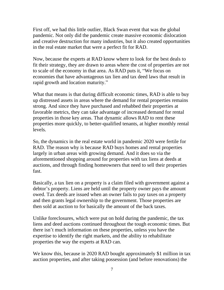First off, we had this little outlier, Black Swan event that was the global pandemic. Not only did the pandemic create massive economic dislocation and creative destruction for many industries, but it also created opportunities in the real estate market that were a perfect fit for RAD.

Now, because the experts at RAD know where to look for the best deals to fit their strategy, they are drawn to areas where the cost of properties are not to scale of the economy in that area. As RAD puts it, "We focus on economies that have advantageous tax lien and tax deed laws that result in rapid growth and location maturity."

What that means is that during difficult economic times, RAD is able to buy up distressed assets in areas where the demand for rental properties remains strong. And since they have purchased and rehabbed their properties at favorable metrics, they can take advantage of increased demand for rental properties in those key areas. That dynamic allows RAD to rent these properties more quickly, to better-qualified tenants, at higher monthly rental levels.

So, the dynamics in the real estate world in pandemic 2020 were fertile for RAD. The reason why is because RAD buys homes and rental properties largely in urban areas with growing demand. And it does so via the aforementioned shopping around for properties with tax liens at deeds at auctions, and through finding homeowners that need to sell their properties fast.

Basically, a tax lien on a property is a claim filed with government against a debtor's property. Liens are held until the property owner pays the amount owed. Tax deeds are issued when an owner fails to pay taxes on a property and then grants legal ownership to the government. Those properties are then sold at auction to for basically the amount of the back taxes.

Unlike foreclosures, which were put on hold during the pandemic, the tax liens and deed auctions continued throughout the tough economic times. But there isn't much information on these properties, unless you have the expertise to identify the right markets, and the ability to rehabilitate properties the way the experts at RAD can.

We know this, because in 2020 RAD bought approximately \$1 million in tax auction properties, and after taking possession (and before renovations) the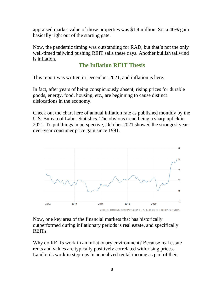appraised market value of those properties was \$1.4 million. So, a 40% gain basically right out of the starting gate.

Now, the pandemic timing was outstanding for RAD, but that's not the only well-timed tailwind pushing REIT sails these days. Another bullish tailwind is inflation.

#### **The Inflation REIT Thesis**

This report was written in December 2021, and inflation is here.

In fact, after years of being conspicuously absent, rising prices for durable goods, energy, food, housing, etc., are beginning to cause distinct dislocations in the economy.

Check out the chart here of annual inflation rate as published monthly by the U.S. Bureau of Labor Statistics. The obvious trend being a sharp uptick in 2021. To put things in perspective, October 2021 showed the strongest yearover-year consumer price gain since 1991.



SOURCE: TRADINGECONOMICS.COM | U.S. BUREAU OF LABOR STATISTICS

Now, one key area of the financial markets that has historically outperformed during inflationary periods is real estate, and specifically REITs.

Why do REITs work in an inflationary environment? Because real estate rents and values are typically positively correlated with rising prices. Landlords work in step-ups in annualized rental income as part of their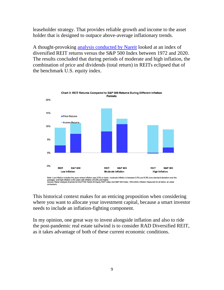leaseholder strategy. That provides reliable growth and income to the asset holder that is designed to outpace above-average inflationary trends.

A thought-provoking [analysis conducted by Nareit](https://www.reit.com/news/blog/market-commentary/how-reits-provide-protection-against-inflation) looked at an index of diversified REIT returns versus the S&P 500 Index between 1972 and 2020. The results concluded that during periods of moderate and high inflation, the combination of price and dividends (total return) in REITs eclipsed that of the benchmark U.S. equity index.



This historical context makes for an enticing proposition when considering where you want to allocate your investment capital, because a smart investor needs to include an inflation-fighting component.

In my opinion, one great way to invest alongside inflation and also to ride the post-pandemic real estate tailwind is to consider RAD Diversified REIT, as it takes advantage of both of these current economic conditions.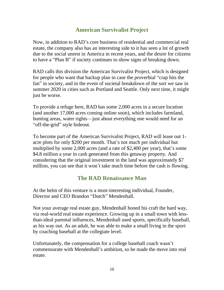#### **American Survivalist Project**

Now, in addition to RAD's core business of residential and commercial real estate, the company also has an interesting side to it has seen a lot of growth due to the social unrest in America in recent years, and the desire for citizens to have a "Plan B" if society continues to show signs of breaking down.

RAD calls this division the American Survivalist Project, which is designed for people who want that backup plan in case the proverbial "crap hits the fan" in society, and in the event of societal breakdown of the sort we saw in summer 2020 in cities such as Portland and Seattle. Only next time, it might just be worse.

To provide a refuge here, RAD has some 2,000 acres in a secure location (and another 17,000 acres coming online soon), which includes farmland, hunting areas, water rights—just about everything one would need for an "off-the-grid" style hideout.

To become part of the American Survivalist Project, RAD will lease out 1 acre plots for only \$200 per month. That's not much per individual but multiplied by some 2,000 acres (and a rate of \$2,400 per year), that's some \$4.8 million a year in cash generated from this getaway property. And considering that the original investment in the land was approximately \$7 million, you can see that it won't take much time before the cash is flowing.

#### **The RAD Renaissance Man**

At the helm of this venture is a most-interesting individual, Founder, Director and CEO Brandon "Dutch" Mendenhall.

Not your average real estate guy, Mendenhall honed his craft the hard way, via real-world real estate experience. Growing up in a small town with lessthan-ideal parental influences, Mendenhall used sports, specifically baseball, as his way out. As an adult, he was able to make a small living in the sport by coaching baseball at the collegiate level.

Unfortunately, the compensation for a college baseball coach wasn't commensurate with Mendenhall's ambition, so he made the move into real estate.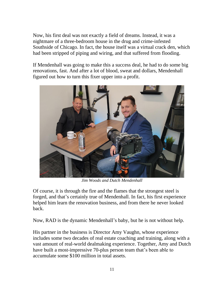Now, his first deal was not exactly a field of dreams. Instead, it was a nightmare of a three-bedroom house in the drug and crime-infested Southside of Chicago. In fact, the house itself was a virtual crack den, which had been stripped of piping and wiring, and that suffered from flooding.

If Mendenhall was going to make this a success deal, he had to do some big renovations, fast. And after a lot of blood, sweat and dollars, Mendenhall figured out how to turn this fixer upper into a profit.



*Jim Woods and Dutch Mendenhall*

Of course, it is through the fire and the flames that the strongest steel is forged, and that's certainly true of Mendenhall. In fact, his first experience helped him learn the renovation business, and from there he never looked back.

Now, RAD is the dynamic Mendenhall's baby, but he is not without help.

His partner in the business is Director Amy Vaughn, whose experience includes some two decades of real estate coaching and training, along with a vast amount of real-world dealmaking experience. Together, Amy and Dutch have built a most-impressive 70-plus person team that's been able to accumulate some \$100 million in total assets.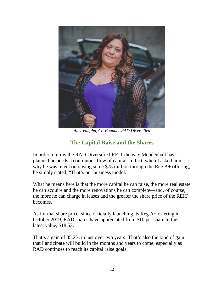

*Amy Vaughn, Co-Founder RAD Diversified*

## **The Capital Raise and the Shares**

In order to grow the RAD Diversified REIT the way Mendenhall has planned he needs a continuous flow of capital. In fact, when I asked him why he was intent on raising some \$75 million through the Reg A+ offering, he simply stated, "That's our business model."

What he means here is that the more capital he can raise, the more real estate he can acquire and the more renovations he can complete—and, of course, the more he can charge in leases and the greater the share price of the REIT becomes.

As for that share price, since officially launching its Reg A+ offering in October 2019, RAD shares have appreciated from \$10 per share to their latest value, \$18.52.

That's a gain of 85.2% in just over two years! That's also the kind of gain that I anticipate will build in the months and years to come, especially as RAD continues to reach its capital raise goals.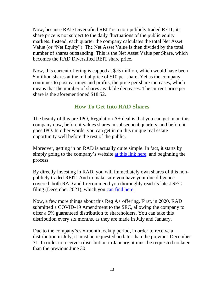Now, because RAD Diversified REIT is a non-publicly traded REIT, its share price is not subject to the daily fluctuations of the public equity markets. Instead, each quarter the company calculates the total Net Asset Value (or "Net Equity"). The Net Asset Value is then divided by the total number of shares outstanding. This is the Net Asset Value per Share, which becomes the RAD Diversified REIT share price.

Now, this current offering is capped at \$75 million, which would have been 5 million shares at the initial price of \$10 per share. Yet as the company continues to post earnings and profits, the price per share increases, which means that the number of shares available decreases. The current price per share is the aforementioned \$18.52.

#### **How To Get Into RAD Shares**

The beauty of this pre-IPO, Regulation  $A<sub>+</sub>$  deal is that you can get in on this company now, before it values shares in subsequent quarters, and before it goes IPO. In other words, you can get in on this unique real estate opportunity well before the rest of the public.

Moreover, getting in on RAD is actually quite simple. In fact, it starts by simply going to the company's website [at this link](https://fps.isrefer.com/go/Eagle/Eagle/) here, and beginning the process.

By directly investing in RAD, you will immediately own shares of this nonpublicly traded REIT. And to make sure you have your due diligence covered, both RAD and I recommend you thoroughly read its latest SEC filing (December 2021), which you [can find here.](https://www.sec.gov/Archives/edgar/data/1721469/000110465921152238/tm2136043d1_253g2.htm)

Now, a few more things about this Reg A+ offering. First, in 2020, RAD submitted a COVID-19 Amendment to the SEC, allowing the company to offer a 5% guaranteed distribution to shareholders. You can take this distribution every six months, as they are made in July and January.

Due to the company's six-month lockup period, in order to receive a distribution in July, it must be requested no later than the previous December 31. In order to receive a distribution in January, it must be requested no later than the previous June 30.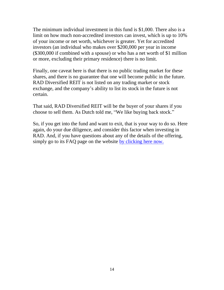The minimum individual investment in this fund is \$1,000. There also is a limit on how much non-accredited investors can invest, which is up to 10% of your income or net worth, whichever is greater. Yet for accredited investors (an individual who makes over \$200,000 per year in income (\$300,000 if combined with a spouse) or who has a net worth of \$1 million or more, excluding their primary residence) there is no limit.

Finally, one caveat here is that there is no public trading market for these shares, and there is no guarantee that one will become public in the future. RAD Diversified REIT is not listed on any trading market or stock exchange, and the company's ability to list its stock in the future is not certain.

That said, RAD Diversified REIT will be the buyer of your shares if you choose to sell them. As Dutch told me, "We like buying back stock."

So, if you get into the fund and want to exit, that is your way to do so. Here again, do your due diligence, and consider this factor when investing in RAD. And, if you have questions about any of the details of the offering, simply go to its FAQ page on the website [by clicking here now.](https://fps.isrefer.com/go/EPFQ/Eagle/)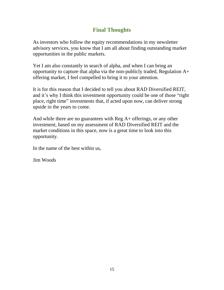#### **Final Thoughts**

As investors who follow the equity recommendations in my newsletter advisory services, you know that I am all about finding outstanding market opportunities in the public markets.

Yet I am also constantly in search of alpha, and when I can bring an opportunity to capture that alpha via the non-publicly traded, Regulation A+ offering market, I feel compelled to bring it to your attention.

It is for this reason that I decided to tell you about RAD Diversified REIT, and it's why I think this investment opportunity could be one of those "right place, right time" investments that, if acted upon now, can deliver strong upside in the years to come.

And while there are no guarantees with Reg A+ offerings, or any other investment, based on my assessment of RAD Diversified REIT and the market conditions in this space, now is a great time to look into this opportunity.

In the name of the best within us,

Jim Woods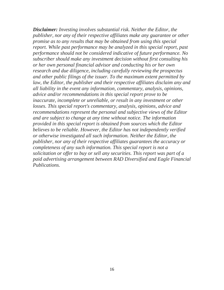*Disclaimer: Investing involves substantial risk. Neither the Editor, the publisher, nor any of their respective affiliates make any guarantee or other promise as to any results that may be obtained from using this special report. While past performance may be analyzed in this special report, past performance should not be considered indicative of future performance. No subscriber should make any investment decision without first consulting his or her own personal financial advisor and conducting his or her own research and due diligence, including carefully reviewing the prospectus and other public filings of the issuer. To the maximum extent permitted by law, the Editor, the publisher and their respective affiliates disclaim any and all liability in the event any information, commentary, analysis, opinions, advice and/or recommendations in this special report prove to be inaccurate, incomplete or unreliable, or result in any investment or other losses. This special report's commentary, analysis, opinions, advice and recommendations represent the personal and subjective views of the Editor and are subject to change at any time without notice. The information provided in this special report is obtained from sources which the Editor believes to be reliable. However, the Editor has not independently verified or otherwise investigated all such information. Neither the Editor, the publisher, nor any of their respective affiliates guarantees the accuracy or completeness of any such information. This special report is not a solicitation or offer to buy or sell any securities. This report was part of a paid advertising arrangement between RAD Diversified and Eagle Financial Publications.*